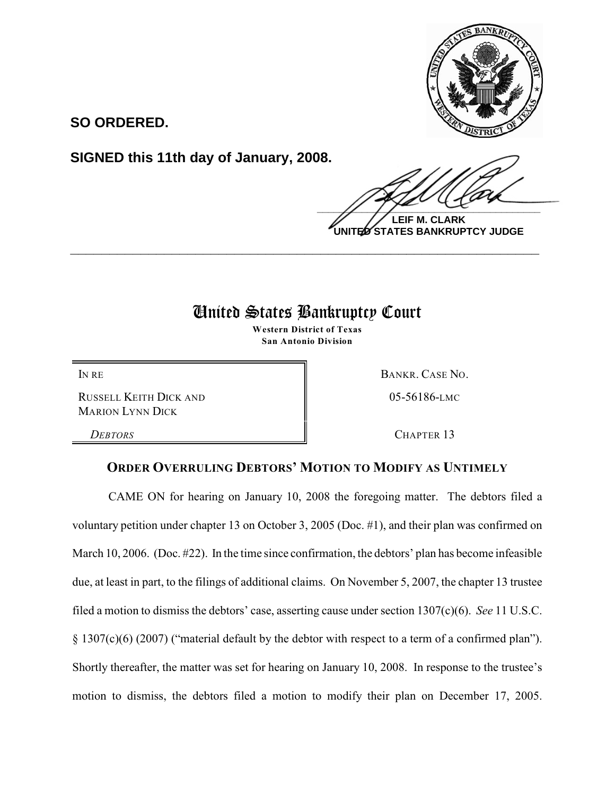

**SO ORDERED.**

**SIGNED this 11th day of January, 2008.**

 $\frac{1}{2}$ 

**LEIF M. CLARK UNITED STATES BANKRUPTCY JUDGE**

## United States Bankruptcy Court

**\_\_\_\_\_\_\_\_\_\_\_\_\_\_\_\_\_\_\_\_\_\_\_\_\_\_\_\_\_\_\_\_\_\_\_\_\_\_\_\_\_\_\_\_\_\_\_\_\_\_\_\_\_\_\_\_\_\_\_\_**

**Western District of Texas San Antonio Division**

RUSSELL KEITH DICK AND MARION LYNN DICK

IN RE BANKR. CASE NO.

05-56186-LMC

*DEBTORS* CHAPTER 13

## **ORDER OVERRULING DEBTORS' MOTION TO MODIFY AS UNTIMELY**

CAME ON for hearing on January 10, 2008 the foregoing matter. The debtors filed a voluntary petition under chapter 13 on October 3, 2005 (Doc. #1), and their plan was confirmed on March 10, 2006. (Doc. #22). In the time since confirmation, the debtors' plan has become infeasible due, at least in part, to the filings of additional claims. On November 5, 2007, the chapter 13 trustee filed a motion to dismiss the debtors' case, asserting cause under section 1307(c)(6). *See* 11 U.S.C. § 1307(c)(6) (2007) ("material default by the debtor with respect to a term of a confirmed plan"). Shortly thereafter, the matter was set for hearing on January 10, 2008. In response to the trustee's motion to dismiss, the debtors filed a motion to modify their plan on December 17, 2005.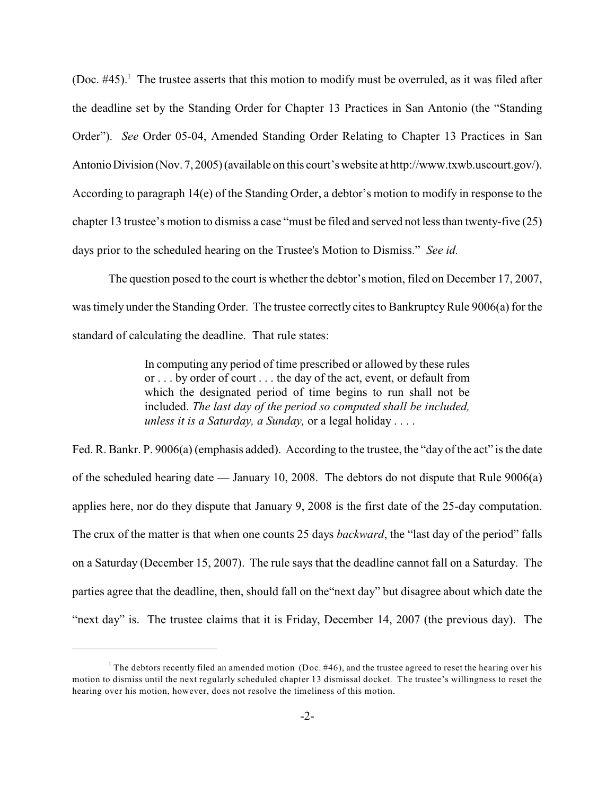(Doc.  $\#45$ ). The trustee asserts that this motion to modify must be overruled, as it was filed after the deadline set by the Standing Order for Chapter 13 Practices in San Antonio (the "Standing Order"). *See* Order 05-04, Amended Standing Order Relating to Chapter 13 Practices in San Antonio Division (Nov. 7, 2005) (available on this court's website at http://www.txwb.uscourt.gov/). According to paragraph 14(e) of the Standing Order, a debtor's motion to modify in response to the chapter 13 trustee's motion to dismiss a case "must be filed and served not less than twenty-five (25) days prior to the scheduled hearing on the Trustee's Motion to Dismiss." *See id.*

The question posed to the court is whether the debtor's motion, filed on December 17, 2007, was timely under the Standing Order. The trustee correctly cites to Bankruptcy Rule 9006(a) for the standard of calculating the deadline. That rule states:

> In computing any period of time prescribed or allowed by these rules or . . . by order of court . . . the day of the act, event, or default from which the designated period of time begins to run shall not be included. *The last day of the period so computed shall be included, unless it is a Saturday, a Sunday,* or a legal holiday . . . .

Fed. R. Bankr. P. 9006(a) (emphasis added). According to the trustee, the "day of the act" is the date of the scheduled hearing date — January 10, 2008. The debtors do not dispute that Rule 9006(a) applies here, nor do they dispute that January 9, 2008 is the first date of the 25-day computation. The crux of the matter is that when one counts 25 days *backward*, the "last day of the period" falls on a Saturday (December 15, 2007). The rule says that the deadline cannot fall on a Saturday. The parties agree that the deadline, then, should fall on the"next day" but disagree about which date the "next day" is. The trustee claims that it is Friday, December 14, 2007 (the previous day). The

<sup>&</sup>lt;sup>1</sup> The debtors recently filed an amended motion (Doc. #46), and the trustee agreed to reset the hearing over his motion to dismiss until the next regularly scheduled chapter 13 dismissal docket. The trustee's willingness to reset the hearing over his motion, however, does not resolve the timeliness of this motion.